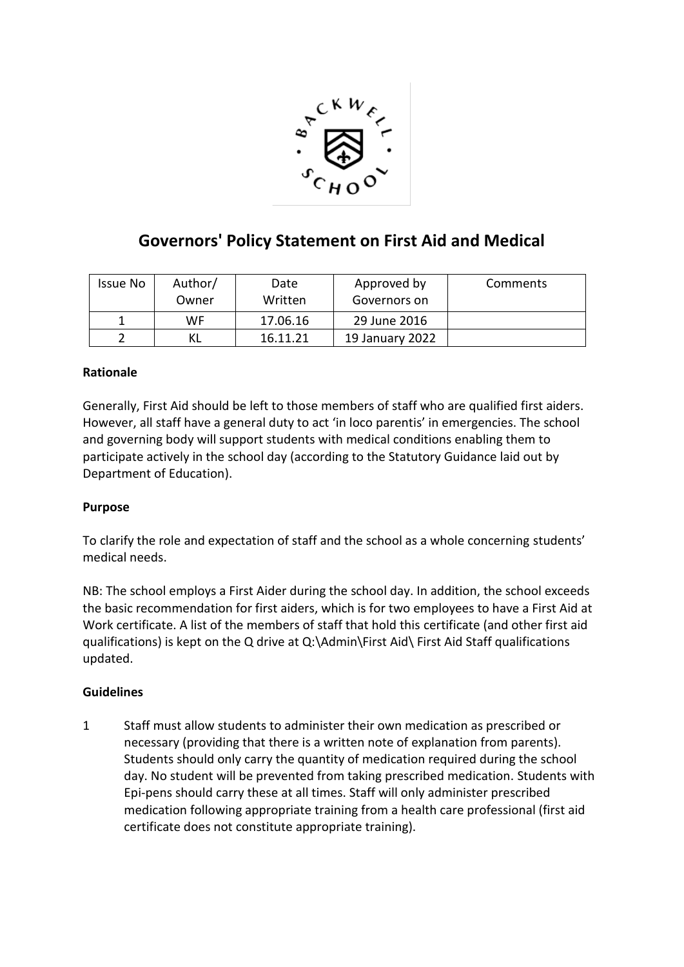

## **Governors' Policy Statement on First Aid and Medical**

| Issue No | Author/<br>Owner | Date<br>Written | Approved by<br>Governors on | Comments |
|----------|------------------|-----------------|-----------------------------|----------|
|          | WF.              | 17.06.16        | 29 June 2016                |          |
|          | ΚL               | 16.11.21        | 19 January 2022             |          |

## **Rationale**

Generally, First Aid should be left to those members of staff who are qualified first aiders. However, all staff have a general duty to act 'in loco parentis' in emergencies. The school and governing body will support students with medical conditions enabling them to participate actively in the school day (according to the Statutory Guidance laid out by Department of Education).

## **Purpose**

To clarify the role and expectation of staff and the school as a whole concerning students' medical needs.

NB: The school employs a First Aider during the school day. In addition, the school exceeds the basic recommendation for first aiders, which is for two employees to have a First Aid at Work certificate. A list of the members of staff that hold this certificate (and other first aid qualifications) is kept on the Q drive at Q:\Admin\First Aid\ First Aid Staff qualifications updated.

## **Guidelines**

1 Staff must allow students to administer their own medication as prescribed or necessary (providing that there is a written note of explanation from parents). Students should only carry the quantity of medication required during the school day. No student will be prevented from taking prescribed medication. Students with Epi-pens should carry these at all times. Staff will only administer prescribed medication following appropriate training from a health care professional (first aid certificate does not constitute appropriate training).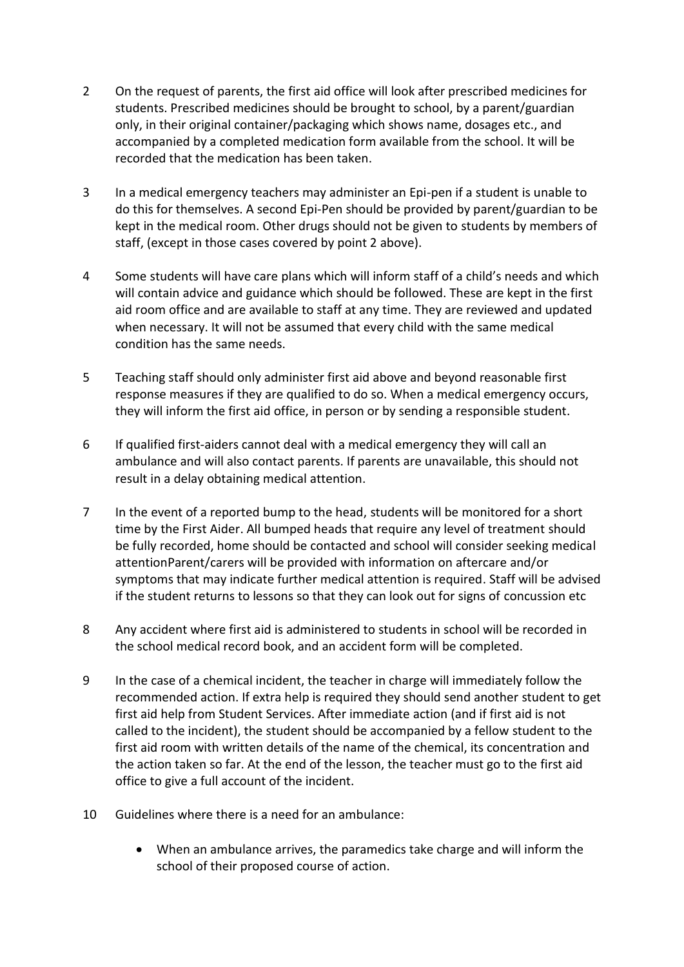- 2 On the request of parents, the first aid office will look after prescribed medicines for students. Prescribed medicines should be brought to school, by a parent/guardian only, in their original container/packaging which shows name, dosages etc., and accompanied by a completed medication form available from the school. It will be recorded that the medication has been taken.
- 3 In a medical emergency teachers may administer an Epi-pen if a student is unable to do this for themselves. A second Epi-Pen should be provided by parent/guardian to be kept in the medical room. Other drugs should not be given to students by members of staff, (except in those cases covered by point 2 above).
- 4 Some students will have care plans which will inform staff of a child's needs and which will contain advice and guidance which should be followed. These are kept in the first aid room office and are available to staff at any time. They are reviewed and updated when necessary. It will not be assumed that every child with the same medical condition has the same needs.
- 5 Teaching staff should only administer first aid above and beyond reasonable first response measures if they are qualified to do so. When a medical emergency occurs, they will inform the first aid office, in person or by sending a responsible student.
- 6 If qualified first-aiders cannot deal with a medical emergency they will call an ambulance and will also contact parents. If parents are unavailable, this should not result in a delay obtaining medical attention.
- 7 In the event of a reported bump to the head, students will be monitored for a short time by the First Aider. All bumped heads that require any level of treatment should be fully recorded, home should be contacted and school will consider seeking medical attentionParent/carers will be provided with information on aftercare and/or symptoms that may indicate further medical attention is required. Staff will be advised if the student returns to lessons so that they can look out for signs of concussion etc
- 8 Any accident where first aid is administered to students in school will be recorded in the school medical record book, and an accident form will be completed.
- 9 In the case of a chemical incident, the teacher in charge will immediately follow the recommended action. If extra help is required they should send another student to get first aid help from Student Services. After immediate action (and if first aid is not called to the incident), the student should be accompanied by a fellow student to the first aid room with written details of the name of the chemical, its concentration and the action taken so far. At the end of the lesson, the teacher must go to the first aid office to give a full account of the incident.
- 10 Guidelines where there is a need for an ambulance:
	- When an ambulance arrives, the paramedics take charge and will inform the school of their proposed course of action.